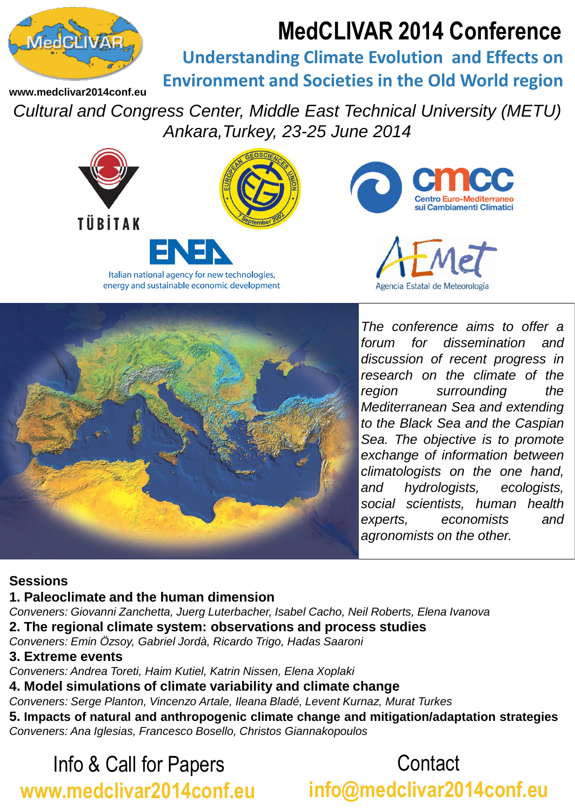# **MedCLIVAR 2014 Conference**



**Understanding Climate Evolution and Effects on Environment and Societies in the Old World region**

**www.medclivar2014conf.eu**

*Cultural and Congress Center, Middle East Technical University (METU) Ankara,Turkey, 23-25 June 2014*





*The conference aims to offer a forum for dissemination and discussion of recent progress in research on the climate of the region surrounding the Mediterranean Sea and extending to the Black Sea and the Caspian Sea. The objective is to promote exchange of information between climatologists on the one hand, and hydrologists, ecologists, social scientists, human health experts, economists and agronomists on the other.*

### **Sessions**

### **1. Paleoclimate and the human dimension**

*Conveners: Giovanni Zanchetta, Juerg Luterbacher, Isabel Cacho, Neil Roberts, Elena Ivanova*

**2. The regional climate system: observations and process studies**

*Conveners: Emin Özsoy, Gabriel Jordà, Ricardo Trigo, Hadas Saaroni*

### **3. Extreme events**

*Conveners: Andrea Toreti, Haim Kutiel, Katrin Nissen, Elena Xoplaki*

**4. Model simulations of climate variability and climate change**

*Conveners: Serge Planton, Vincenzo Artale, Ileana Bladé, Levent Kurnaz, Murat Turkes*

**5. Impacts of natural and anthropogenic climate change and mitigation/adaptation strategies** *Conveners: Ana Iglesias, Francesco Bosello, Christos Giannakopoulos*

## Info & Call for Papers **www.medclivar2014conf.eu**

**Contact info@medclivar2014conf.eu**